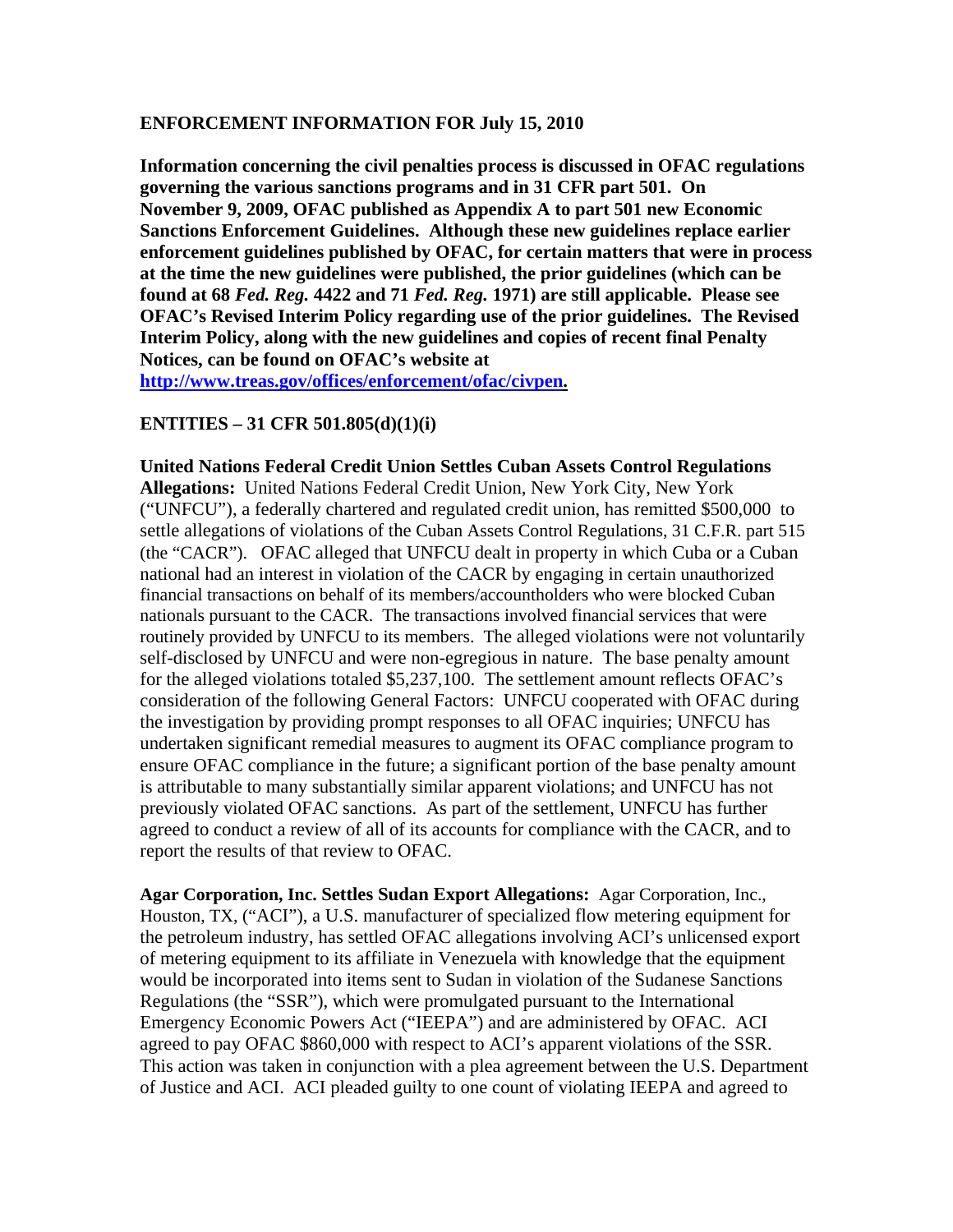## **ENFORCEMENT INFORMATION FOR July 15, 2010**

**Information concerning the civil penalties process is discussed in OFAC regulations governing the various sanctions programs and in 31 CFR part 501. On November 9, 2009, OFAC published as Appendix A to part 501 new Economic Sanctions Enforcement Guidelines. Although these new guidelines replace earlier enforcement guidelines published by OFAC, for certain matters that were in process at the time the new guidelines were published, the prior guidelines (which can be found at 68** *Fed. Reg.* **4422 and 71** *Fed. Reg.* **1971) are still applicable. Please see OFAC's Revised Interim Policy regarding use of the prior guidelines. The Revised Interim Policy, along with the new guidelines and copies of recent final Penalty Notices, can be found on OFAC's website at** 

**[http://www.treas.gov/offices/enforcement/ofac/civpen.](http://www.treas.gov/offices/enforcement/ofac/civpen)**

## **ENTITIES – 31 CFR 501.805(d)(1)(i)**

**United Nations Federal Credit Union Settles Cuban Assets Control Regulations Allegations:** United Nations Federal Credit Union, New York City, New York ("UNFCU"), a federally chartered and regulated credit union, has remitted \$500,000 to settle allegations of violations of the Cuban Assets Control Regulations, 31 C.F.R. part 515 (the "CACR"). OFAC alleged that UNFCU dealt in property in which Cuba or a Cuban national had an interest in violation of the CACR by engaging in certain unauthorized financial transactions on behalf of its members/accountholders who were blocked Cuban nationals pursuant to the CACR. The transactions involved financial services that were routinely provided by UNFCU to its members. The alleged violations were not voluntarily self-disclosed by UNFCU and were non-egregious in nature. The base penalty amount for the alleged violations totaled \$5,237,100. The settlement amount reflects OFAC's consideration of the following General Factors: UNFCU cooperated with OFAC during the investigation by providing prompt responses to all OFAC inquiries; UNFCU has undertaken significant remedial measures to augment its OFAC compliance program to ensure OFAC compliance in the future; a significant portion of the base penalty amount is attributable to many substantially similar apparent violations; and UNFCU has not previously violated OFAC sanctions. As part of the settlement, UNFCU has further agreed to conduct a review of all of its accounts for compliance with the CACR, and to report the results of that review to OFAC.

**Agar Corporation, Inc. Settles Sudan Export Allegations:** Agar Corporation, Inc., Houston, TX, ("ACI"), a U.S. manufacturer of specialized flow metering equipment for the petroleum industry, has settled OFAC allegations involving ACI's unlicensed export of metering equipment to its affiliate in Venezuela with knowledge that the equipment would be incorporated into items sent to Sudan in violation of the Sudanese Sanctions Regulations (the "SSR"), which were promulgated pursuant to the International Emergency Economic Powers Act ("IEEPA") and are administered by OFAC. ACI agreed to pay OFAC \$860,000 with respect to ACI's apparent violations of the SSR. This action was taken in conjunction with a plea agreement between the U.S. Department of Justice and ACI. ACI pleaded guilty to one count of violating IEEPA and agreed to